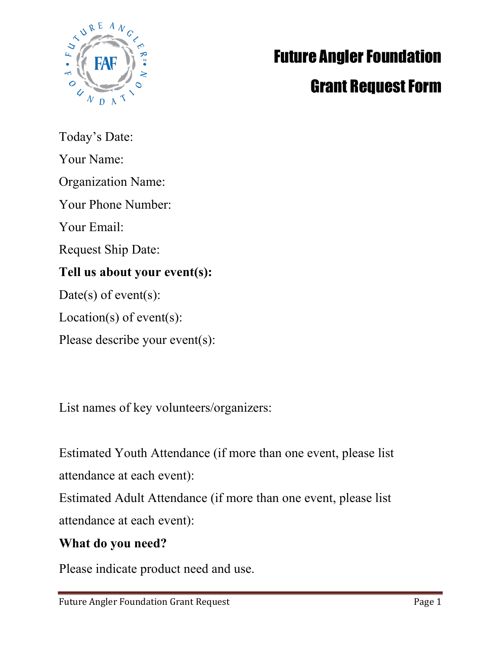

# **Future Angler Foundation**

# **Grant Request Form**

Today's Date: Your Name:

Organization Name:

Your Phone Number:

Your Email:

Request Ship Date:

## **Tell us about your event(s):**

Date(s) of event(s):

Location(s) of event(s):

Please describe your event(s):

List names of key volunteers/organizers:

Estimated Youth Attendance (if more than one event, please list attendance at each event):

Estimated Adult Attendance (if more than one event, please list attendance at each event):

### **What do you need?**

Please indicate product need and use.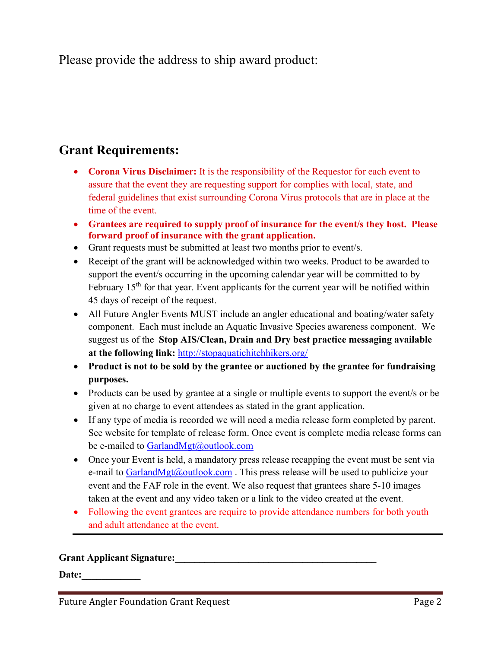Please provide the address to ship award product:

#### **Grant Requirements:**

- **Corona Virus Disclaimer:** It is the responsibility of the Requestor for each event to assure that the event they are requesting support for complies with local, state, and federal guidelines that exist surrounding Corona Virus protocols that are in place at the time of the event.
- **Grantees are required to supply proof of insurance for the event/s they host. Please forward proof of insurance with the grant application.**
- Grant requests must be submitted at least two months prior to event/s.
- Receipt of the grant will be acknowledged within two weeks. Product to be awarded to support the event/s occurring in the upcoming calendar year will be committed to by February  $15<sup>th</sup>$  for that year. Event applicants for the current year will be notified within 45 days of receipt of the request.
- All Future Angler Events MUST include an angler educational and boating/water safety component. Each must include an Aquatic Invasive Species awareness component. We suggest us of the **Stop AIS/Clean, Drain and Dry best practice messaging available at the following link:** <http://stopaquatichitchhikers.org/>
- **Product is not to be sold by the grantee or auctioned by the grantee for fundraising purposes.**
- Products can be used by grantee at a single or multiple events to support the event/s or be given at no charge to event attendees as stated in the grant application.
- If any type of media is recorded we will need a media release form completed by parent. See website for template of release form. Once event is complete media release forms can be e-mailed to GarlandMgt@outlook.com
- Once your Event is held, a mandatory press release recapping the event must be sent via e-mail to  $GarlandMgt@outlook.com$ . This press release will be used to publicize your event and the FAF role in the event. We also request that grantees share 5-10 images taken at the event and any video taken or a link to the video created at the event.
- Following the event grantees are require to provide attendance numbers for both youth and adult attendance at the event.

#### **Grant Applicant Signature:**

Date: